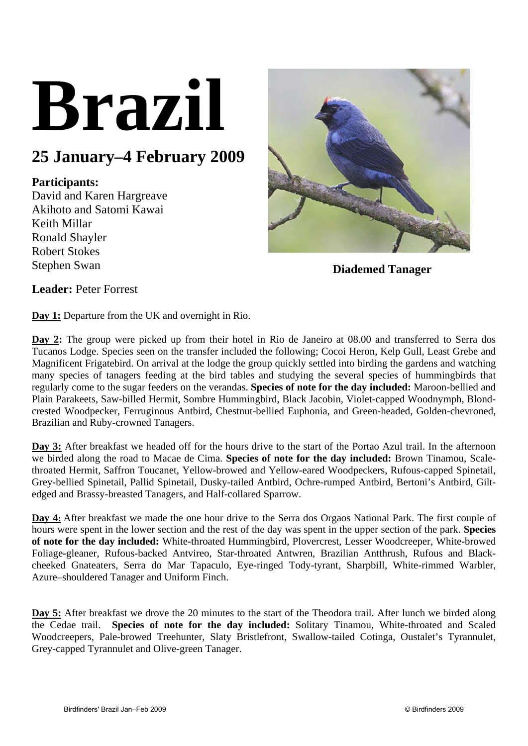# **Brazil**

## **25 January–4 February 2009**

### **Participants:**

David and Karen Hargreave Akihoto and Satomi Kawai Keith Millar Ronald Shayler Robert Stokes Stephen Swan



**Diademed Tanager** 

**Leader:** Peter Forrest

**Day 1:** Departure from the UK and overnight in Rio.

**Day 2:** The group were picked up from their hotel in Rio de Janeiro at 08.00 and transferred to Serra dos Tucanos Lodge. Species seen on the transfer included the following; Cocoi Heron, Kelp Gull, Least Grebe and Magnificent Frigatebird. On arrival at the lodge the group quickly settled into birding the gardens and watching many species of tanagers feeding at the bird tables and studying the several species of hummingbirds that regularly come to the sugar feeders on the verandas. **Species of note for the day included:** Maroon-bellied and Plain Parakeets, Saw-billed Hermit, Sombre Hummingbird, Black Jacobin, Violet-capped Woodnymph, Blondcrested Woodpecker, Ferruginous Antbird, Chestnut-bellied Euphonia, and Green-headed, Golden-chevroned, Brazilian and Ruby-crowned Tanagers.

**Day 3:** After breakfast we headed off for the hours drive to the start of the Portao Azul trail. In the afternoon we birded along the road to Macae de Cima. **Species of note for the day included:** Brown Tinamou, Scalethroated Hermit, Saffron Toucanet, Yellow-browed and Yellow-eared Woodpeckers, Rufous-capped Spinetail, Grey-bellied Spinetail, Pallid Spinetail, Dusky-tailed Antbird, Ochre-rumped Antbird, Bertoni's Antbird, Giltedged and Brassy-breasted Tanagers, and Half-collared Sparrow.

**Day 4:** After breakfast we made the one hour drive to the Serra dos Orgaos National Park. The first couple of hours were spent in the lower section and the rest of the day was spent in the upper section of the park. **Species of note for the day included:** White-throated Hummingbird, Plovercrest, Lesser Woodcreeper, White-browed Foliage-gleaner, Rufous-backed Antvireo, Star-throated Antwren, Brazilian Antthrush, Rufous and Blackcheeked Gnateaters, Serra do Mar Tapaculo, Eye-ringed Tody-tyrant, Sharpbill, White-rimmed Warbler, Azure–shouldered Tanager and Uniform Finch.

**Day 5:** After breakfast we drove the 20 minutes to the start of the Theodora trail. After lunch we birded along the Cedae trail. **Species of note for the day included:** Solitary Tinamou, White-throated and Scaled Woodcreepers, Pale-browed Treehunter, Slaty Bristlefront, Swallow-tailed Cotinga, Oustalet's Tyrannulet, Grey-capped Tyrannulet and Olive-green Tanager.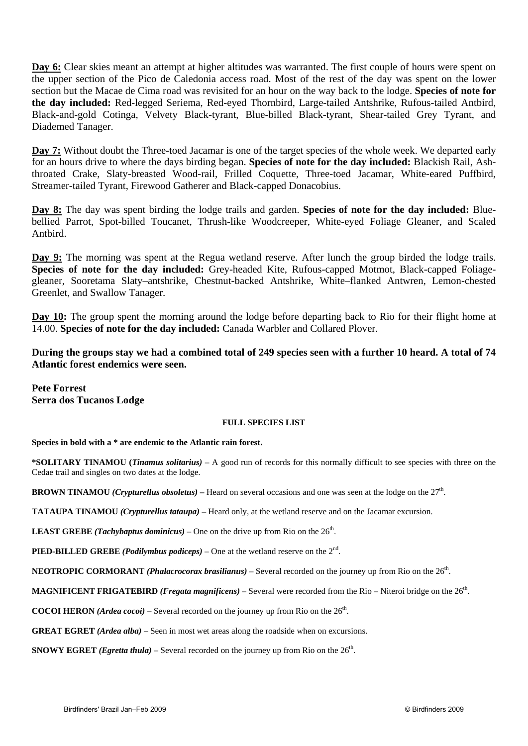**Day 6:** Clear skies meant an attempt at higher altitudes was warranted. The first couple of hours were spent on the upper section of the Pico de Caledonia access road. Most of the rest of the day was spent on the lower section but the Macae de Cima road was revisited for an hour on the way back to the lodge. **Species of note for the day included:** Red-legged Seriema, Red-eyed Thornbird, Large-tailed Antshrike, Rufous-tailed Antbird, Black-and-gold Cotinga, Velvety Black-tyrant, Blue-billed Black-tyrant, Shear-tailed Grey Tyrant, and Diademed Tanager.

**Day 7:** Without doubt the Three-toed Jacamar is one of the target species of the whole week. We departed early for an hours drive to where the days birding began. **Species of note for the day included:** Blackish Rail, Ashthroated Crake, Slaty-breasted Wood-rail, Frilled Coquette, Three-toed Jacamar, White-eared Puffbird, Streamer-tailed Tyrant, Firewood Gatherer and Black-capped Donacobius.

**Day 8:** The day was spent birding the lodge trails and garden. **Species of note for the day included:** Bluebellied Parrot, Spot-billed Toucanet, Thrush-like Woodcreeper, White-eyed Foliage Gleaner, and Scaled Antbird.

**Day 9:** The morning was spent at the Regua wetland reserve. After lunch the group birded the lodge trails. **Species of note for the day included:** Grey-headed Kite, Rufous-capped Motmot, Black-capped Foliagegleaner, Sooretama Slaty–antshrike, Chestnut-backed Antshrike, White–flanked Antwren, Lemon-chested Greenlet, and Swallow Tanager.

**Day 10:** The group spent the morning around the lodge before departing back to Rio for their flight home at 14.00. **Species of note for the day included:** Canada Warbler and Collared Plover.

**During the groups stay we had a combined total of 249 species seen with a further 10 heard. A total of 74 Atlantic forest endemics were seen.** 

**Pete Forrest Serra dos Tucanos Lodge** 

#### **FULL SPECIES LIST**

**Species in bold with a \* are endemic to the Atlantic rain forest.** 

**\*SOLITARY TINAMOU (***Tinamus solitarius)* – A good run of records for this normally difficult to see species with three on the Cedae trail and singles on two dates at the lodge.

**BROWN TINAMOU** *(Crypturellus obsoletus)* – Heard on several occasions and one was seen at the lodge on the  $27<sup>th</sup>$ .

**TATAUPA TINAMOU** *(Crypturellus tataupa)* – Heard only, at the wetland reserve and on the Jacamar excursion.

**LEAST GREBE** *(Tachybaptus dominicus)* – One on the drive up from Rio on the  $26<sup>th</sup>$ .

**PIED-BILLED GREBE** *(Podilymbus podiceps)* – One at the wetland reserve on the  $2<sup>nd</sup>$ .

**NEOTROPIC CORMORANT** *(Phalacrocorax brasilianus)* – Several recorded on the journey up from Rio on the 26<sup>th</sup>.

**MAGNIFICENT FRIGATEBIRD** *(Fregata magnificens)* – Several were recorded from the Rio – Niteroi bridge on the 26th.

**COCOI HERON** *(Ardea cocoi)* – Several recorded on the journey up from Rio on the  $26<sup>th</sup>$ .

**GREAT EGRET** *(Ardea alba)* – Seen in most wet areas along the roadside when on excursions.

**SNOWY EGRET** *(Egretta thula)* – Several recorded on the journey up from Rio on the  $26<sup>th</sup>$ .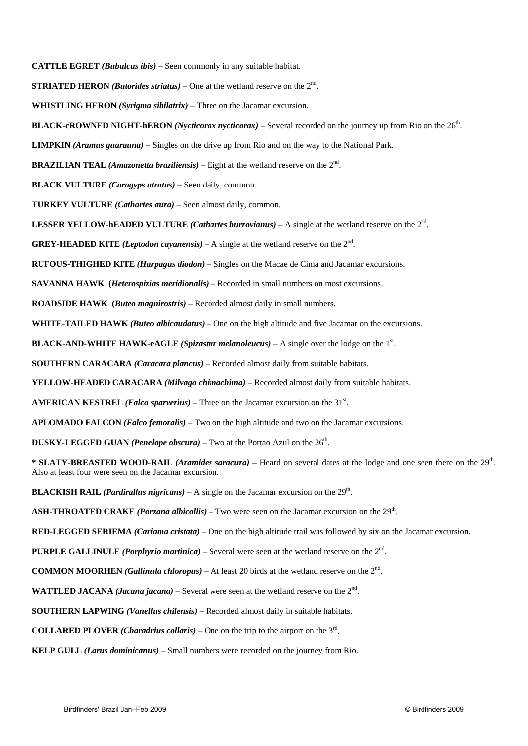**CATTLE EGRET** *(Bubulcus ibis)* – Seen commonly in any suitable habitat.

**STRIATED HERON** *(Butorides striatus)* – One at the wetland reserve on the  $2<sup>nd</sup>$ .

**WHISTLING HERON** *(Syrigma sibilatrix)* – Three on the Jacamar excursion.

#### **BLACK-cROWNED NIGHT-hERON** *(Nycticorax nycticorax)* – Several recorded on the journey up from Rio on the 26<sup>th</sup>.

**LIMPKIN** *(Aramus guarauna)* – Singles on the drive up from Rio and on the way to the National Park.

**BRAZILIAN TEAL** *(Amazonetta braziliensis)* – Eight at the wetland reserve on the 2nd.

**BLACK VULTURE** *(Coragyps atratus)* – Seen daily, common.

**TURKEY VULTURE** *(Cathartes aura)* – Seen almost daily, common.

**LESSER YELLOW-hEADED VULTURE** *(Cathartes burrovianus)* – A single at the wetland reserve on the 2nd.

**GREY-HEADED KITE** *(Leptodon cayanensis)* – A single at the wetland reserve on the  $2<sup>nd</sup>$ .

**RUFOUS-THIGHED KITE** *(Harpagus diodon)* – Singles on the Macae de Cima and Jacamar excursions.

**SAVANNA HAWK (***Heterospizias meridionalis)* – Recorded in small numbers on most excursions.

**ROADSIDE HAWK (***Buteo magnirostris)* – Recorded almost daily in small numbers.

**WHITE-TAILED HAWK** *(Buteo albicaudatus)* – One on the high altitude and five Jacamar on the excursions.

**BLACK-AND-WHITE HAWK-eAGLE** *(Spizastur melanoleucus)* – A single over the lodge on the  $1<sup>st</sup>$ .

**SOUTHERN CARACARA** *(Caracara plancus)* – Recorded almost daily from suitable habitats.

**YELLOW-HEADED CARACARA** *(Milvago chimachima)* – Recorded almost daily from suitable habitats.

AMERICAN KESTREL (Falco sparverius) – Three on the Jacamar excursion on the 31<sup>st</sup>.

**APLOMADO FALCON** *(Falco femoralis)* – Two on the high altitude and two on the Jacamar excursions.

**DUSKY-LEGGED GUAN** *(Penelope obscura)* – Two at the Portao Azul on the  $26<sup>th</sup>$ .

\* **SLATY-BREASTED WOOD-RAIL** *(Aramides saracura)* – Heard on several dates at the lodge and one seen there on the 29<sup>th</sup>. Also at least four were seen on the Jacamar excursion.

**BLACKISH RAIL** *(Pardirallus nigricans)* – A single on the Jacamar excursion on the  $29<sup>th</sup>$ .

**ASH-THROATED CRAKE** *(Porzana albicollis)* – Two were seen on the Jacamar excursion on the 29<sup>th</sup>.

**RED-LEGGED SERIEMA** *(Cariama cristata)* – One on the high altitude trail was followed by six on the Jacamar excursion.

**PURPLE GALLINULE** *(Porphyrio martinica)* – Several were seen at the wetland reserve on the 2nd.

**COMMON MOORHEN** *(Gallinula chloropus)* – At least 20 birds at the wetland reserve on the 2nd.

**WATTLED JACANA** *(Jacana jacana)* – Several were seen at the wetland reserve on the  $2<sup>nd</sup>$ .

 **SOUTHERN LAPWING** *(Vanellus chilensis)* – Recorded almost daily in suitable habitats.

**COLLARED PLOVER** *(Charadrius collaris)* – One on the trip to the airport on the  $3<sup>rd</sup>$ .

**KELP GULL** *(Larus dominicanus)* – Small numbers were recorded on the journey from Rio.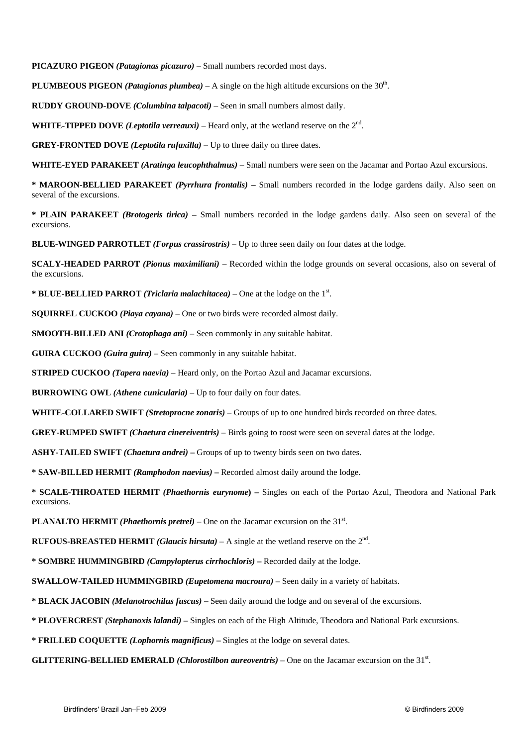**PICAZURO PIGEON** *(Patagionas picazuro)* – Small numbers recorded most days.

**PLUMBEOUS PIGEON** *(Patagionas plumbea)* – A single on the high altitude excursions on the  $30<sup>th</sup>$ .

**RUDDY GROUND-DOVE** *(Columbina talpacoti)* – Seen in small numbers almost daily.

**WHITE-TIPPED DOVE** *(Leptotila verreauxi)* – Heard only, at the wetland reserve on the 2nd.

**GREY-FRONTED DOVE** *(Leptotila rufaxilla)* – Up to three daily on three dates.

**WHITE-EYED PARAKEET** *(Aratinga leucophthalmus)* – Small numbers were seen on the Jacamar and Portao Azul excursions.

**\* MAROON-BELLIED PARAKEET** *(Pyrrhura frontalis)* **–** Small numbers recorded in the lodge gardens daily. Also seen on several of the excursions.

**\* PLAIN PARAKEET** *(Brotogeris tirica)* **–** Small numbers recorded in the lodge gardens daily. Also seen on several of the excursions.

**BLUE-WINGED PARROTLET** *(Forpus crassirostris)* – Up to three seen daily on four dates at the lodge.

**SCALY-HEADED PARROT** *(Pionus maximiliani)* – Recorded within the lodge grounds on several occasions, also on several of the excursions.

\* **BLUE-BELLIED PARROT** *(Triclaria malachitacea)* – One at the lodge on the 1<sup>st</sup>.

**SQUIRREL CUCKOO** *(Piaya cayana)* – One or two birds were recorded almost daily.

**SMOOTH-BILLED ANI** *(Crotophaga ani)* – Seen commonly in any suitable habitat.

**GUIRA CUCKOO** *(Guira guira)* – Seen commonly in any suitable habitat.

**STRIPED CUCKOO** *(Tapera naevia)* – Heard only, on the Portao Azul and Jacamar excursions.

**BURROWING OWL** *(Athene cunicularia)* – Up to four daily on four dates.

**WHITE-COLLARED SWIFT** *(Stretoprocne zonaris)* – Groups of up to one hundred birds recorded on three dates.

**GREY-RUMPED SWIFT** *(Chaetura cinereiventris)* – Birds going to roost were seen on several dates at the lodge.

**ASHY-TAILED SWIFT** *(Chaetura andrei)* **–** Groups of up to twenty birds seen on two dates.

**\* SAW-BILLED HERMIT** *(Ramphodon naevius)* **–** Recorded almost daily around the lodge.

**\* SCALE-THROATED HERMIT** *(Phaethornis eurynome***) –** Singles on each of the Portao Azul, Theodora and National Park excursions.

**PLANALTO HERMIT** *(Phaethornis pretrei)* – One on the Jacamar excursion on the  $31<sup>st</sup>$ .

**RUFOUS-BREASTED HERMIT** *(Glaucis hirsuta)* – A single at the wetland reserve on the  $2<sup>nd</sup>$ .

**\* SOMBRE HUMMINGBIRD** *(Campylopterus cirrhochloris)* **–** Recorded daily at the lodge.

**SWALLOW-TAILED HUMMINGBIRD** *(Eupetomena macroura)* – Seen daily in a variety of habitats.

**\* BLACK JACOBIN** *(Melanotrochilus fuscus)* **–** Seen daily around the lodge and on several of the excursions.

**\* PLOVERCREST** *(Stephanoxis lalandi)* **–** Singles on each of the High Altitude, Theodora and National Park excursions.

**\* FRILLED COQUETTE** *(Lophornis magnificus)* **–** Singles at the lodge on several dates.

**GLITTERING-BELLIED EMERALD** *(Chlorostilbon aureoventris)* – One on the Jacamar excursion on the 31<sup>st</sup>.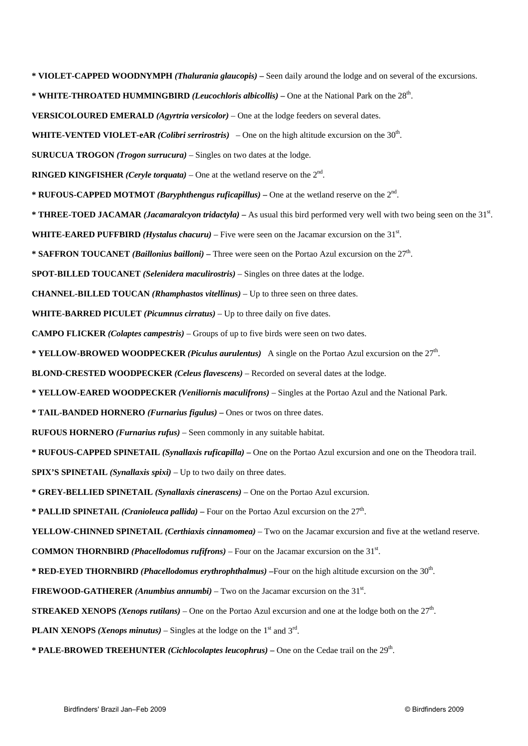**\* VIOLET-CAPPED WOODNYMPH** *(Thalurania glaucopis)* **–** Seen daily around the lodge and on several of the excursions. **\* WHITE-THROATED HUMMINGBIRD** *(Leucochloris albicollis)* **–** One at the National Park on the 28th. **VERSICOLOURED EMERALD** *(Agyrtria versicolor)* – One at the lodge feeders on several dates. **WHITE-VENTED VIOLET-eAR** *(Colibri serrirostris)* – One on the high altitude excursion on the 30<sup>th</sup>. **SURUCUA TROGON** *(Trogon surrucura)* – Singles on two dates at the lodge. **RINGED KINGFISHER** *(Ceryle torquata)* – One at the wetland reserve on the  $2<sup>nd</sup>$ . **\* RUFOUS-CAPPED MOTMOT** *(Baryphthengus ruficapillus)* **–** One at the wetland reserve on the 2nd. \* **THREE-TOED JACAMAR** *(Jacamaralcyon tridactyla)* – As usual this bird performed very well with two being seen on the 31<sup>st</sup>. WHITE-EARED PUFFBIRD (*Hystalus chacuru*) – Five were seen on the Jacamar excursion on the 31<sup>st</sup>. **\* SAFFRON TOUCANET** *(Baillonius bailloni)* **–** Three were seen on the Portao Azul excursion on the 27th. **SPOT-BILLED TOUCANET** *(Selenidera maculirostris)* – Singles on three dates at the lodge. **CHANNEL-BILLED TOUCAN** *(Rhamphastos vitellinus)* – Up to three seen on three dates. **WHITE-BARRED PICULET** *(Picumnus cirratus)* – Up to three daily on five dates. **CAMPO FLICKER** *(Colaptes campestris)* – Groups of up to five birds were seen on two dates. **\* YELLOW-BROWED WOODPECKER** *(Piculus aurulentus)* A single on the Portao Azul excursion on the 27th. **BLOND-CRESTED WOODPECKER** *(Celeus flavescens)* – Recorded on several dates at the lodge. **\* YELLOW-EARED WOODPECKER** *(Veniliornis maculifrons)* – Singles at the Portao Azul and the National Park. **\* TAIL-BANDED HORNERO** *(Furnarius figulus)* **–** Ones or twos on three dates. **RUFOUS HORNERO** *(Furnarius rufus)* – Seen commonly in any suitable habitat. **\* RUFOUS-CAPPED SPINETAIL** *(Synallaxis ruficapilla)* **–** One on the Portao Azul excursion and one on the Theodora trail. **SPIX'S SPINETAIL** *(Synallaxis spixi)* – Up to two daily on three dates. **\* GREY-BELLIED SPINETAIL** *(Synallaxis cinerascens)* – One on the Portao Azul excursion. \* **PALLID SPINETAIL** *(Cranioleuca pallida)* – Four on the Portao Azul excursion on the 27<sup>th</sup>. **YELLOW-CHINNED SPINETAIL** *(Certhiaxis cinnamomea)* – Two on the Jacamar excursion and five at the wetland reserve. **COMMON THORNBIRD** *(Phacellodomus rufifrons)* – Four on the Jacamar excursion on the  $31<sup>st</sup>$ . **\* RED-EYED THORNBIRD** *(Phacellodomus erythrophthalmus)* **–**Four on the high altitude excursion on the 30th. **FIREWOOD-GATHERER** (*Anumbius annumbi*) – Two on the Jacamar excursion on the 31<sup>st</sup>. **STREAKED XENOPS** *(Xenops rutilans)* – One on the Portao Azul excursion and one at the lodge both on the  $27<sup>th</sup>$ . **PLAIN XENOPS** *(Xenops minutus)* – Singles at the lodge on the  $1<sup>st</sup>$  and  $3<sup>rd</sup>$ .

**\* PALE-BROWED TREEHUNTER** *(Cichlocolaptes leucophrus)* – One on the Cedae trail on the 29<sup>th</sup>.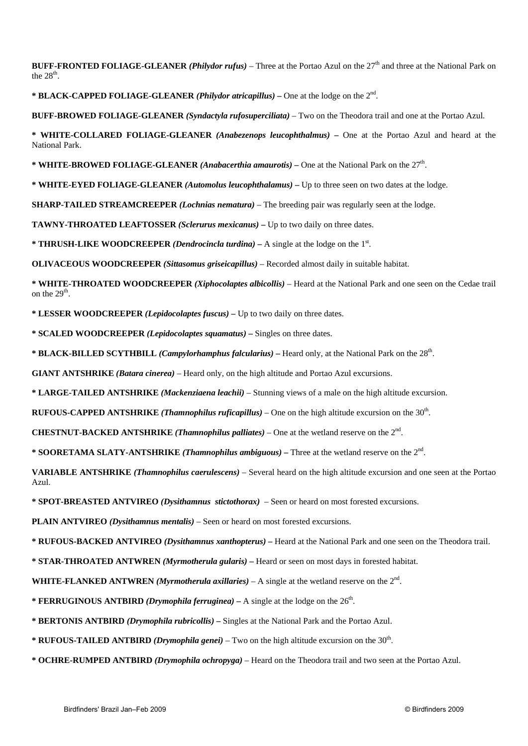**BUFF-FRONTED FOLIAGE-GLEANER** *(Philydor rufus)* – Three at the Portao Azul on the 27th and three at the National Park on the  $28<sup>th</sup>$ .

**\* BLACK-CAPPED FOLIAGE-GLEANER** *(Philydor atricapillus)* **–** One at the lodge on the 2nd.

**BUFF-BROWED FOLIAGE-GLEANER** *(Syndactyla rufosuperciliata)* – Two on the Theodora trail and one at the Portao Azul.

**\* WHITE-COLLARED FOLIAGE-GLEANER** *(Anabezenops leucophthalmus)* **–** One at the Portao Azul and heard at the National Park.

**\* WHITE-BROWED FOLIAGE-GLEANER** *(Anabacerthia amaurotis)* **–** One at the National Park on the 27th.

**\* WHITE-EYED FOLIAGE-GLEANER** *(Automolus leucophthalamus)* **–** Up to three seen on two dates at the lodge.

**SHARP-TAILED STREAMCREEPER** *(Lochnias nematura)* – The breeding pair was regularly seen at the lodge.

**TAWNY-THROATED LEAFTOSSER** *(Sclerurus mexicanus)* **–** Up to two daily on three dates.

\* **THRUSH-LIKE WOODCREEPER** *(Dendrocincla turdina)* – A single at the lodge on the 1<sup>st</sup>.

**OLIVACEOUS WOODCREEPER** *(Sittasomus griseicapillus)* – Recorded almost daily in suitable habitat.

**\* WHITE-THROATED WOODCREEPER** *(Xiphocolaptes albicollis)* – Heard at the National Park and one seen on the Cedae trail on the  $29<sup>th</sup>$ .

**\* LESSER WOODCREEPER** *(Lepidocolaptes fuscus)* **–** Up to two daily on three dates.

**\* SCALED WOODCREEPER** *(Lepidocolaptes squamatus)* **–** Singles on three dates.

**\* BLACK-BILLED SCYTHBILL** *(Campylorhamphus falcularius)* **–** Heard only, at the National Park on the 28th.

**GIANT ANTSHRIKE** *(Batara cinerea)* – Heard only, on the high altitude and Portao Azul excursions.

**\* LARGE-TAILED ANTSHRIKE** *(Mackenziaena leachii)* – Stunning views of a male on the high altitude excursion.

**RUFOUS-CAPPED ANTSHRIKE** *(Thamnophilus ruficapillus)* – One on the high altitude excursion on the 30th.

**CHESTNUT-BACKED ANTSHRIKE** *(Thamnophilus palliates)* – One at the wetland reserve on the 2nd.

**\* SOORETAMA SLATY-ANTSHRIKE** *(Thamnophilus ambiguous)* **–** Three at the wetland reserve on the 2nd.

**VARIABLE ANTSHRIKE** *(Thamnophilus caerulescens)* – Several heard on the high altitude excursion and one seen at the Portao Azul.

**\* SPOT-BREASTED ANTVIREO** *(Dysithamnus stictothorax)* – Seen or heard on most forested excursions.

**PLAIN ANTVIREO** *(Dysithamnus mentalis)* – Seen or heard on most forested excursions.

**\* RUFOUS-BACKED ANTVIREO** *(Dysithamnus xanthopterus)* **–** Heard at the National Park and one seen on the Theodora trail.

**\* STAR-THROATED ANTWREN** *(Myrmotherula gularis)* **–** Heard or seen on most days in forested habitat.

**WHITE-FLANKED ANTWREN** *(Myrmotherula axillaries)* – A single at the wetland reserve on the 2nd.

**\* FERRUGINOUS ANTBIRD** *(Drymophila ferruginea)* – A single at the lodge on the  $26<sup>th</sup>$ .

**\* BERTONIS ANTBIRD** *(Drymophila rubricollis)* **–** Singles at the National Park and the Portao Azul.

**\* RUFOUS-TAILED ANTBIRD** *(Drymophila genei)* – Two on the high altitude excursion on the 30th.

**\* OCHRE-RUMPED ANTBIRD** *(Drymophila ochropyga)* – Heard on the Theodora trail and two seen at the Portao Azul.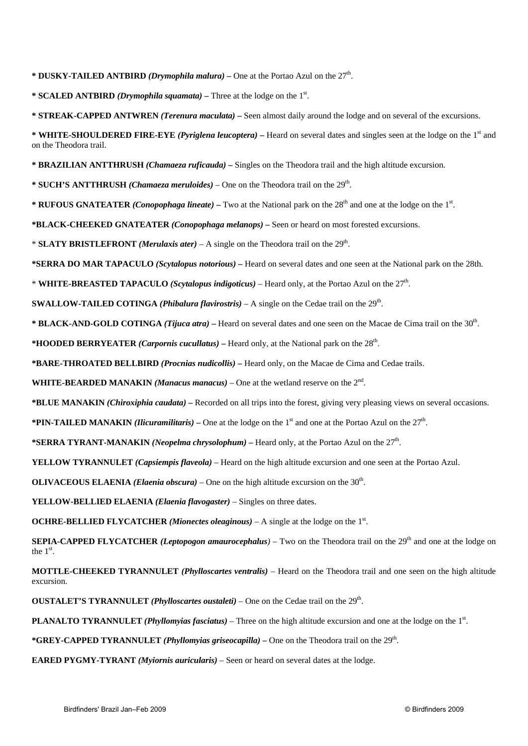\* **DUSKY-TAILED ANTBIRD** *(Drymophila malura)* – One at the Portao Azul on the  $27<sup>th</sup>$ .

\* **SCALED ANTBIRD** *(Drymophila squamata)* – Three at the lodge on the  $1<sup>st</sup>$ .

**\* STREAK-CAPPED ANTWREN** *(Terenura maculata)* **–** Seen almost daily around the lodge and on several of the excursions.

**\* WHITE-SHOULDERED FIRE-EYE** *(Pyriglena leucoptera)* **–** Heard on several dates and singles seen at the lodge on the 1st and on the Theodora trail.

**\* BRAZILIAN ANTTHRUSH** *(Chamaeza ruficauda)* **–** Singles on the Theodora trail and the high altitude excursion.

\* **SUCH'S ANTTHRUSH** *(Chamaeza meruloides)* – One on the Theodora trail on the 29<sup>th</sup>.

\* **RUFOUS GNATEATER** *(Conopophaga lineate)* – Two at the National park on the  $28<sup>th</sup>$  and one at the lodge on the  $1<sup>st</sup>$ .

**\*BLACK-CHEEKED GNATEATER** *(Conopophaga melanops)* **–** Seen or heard on most forested excursions.

\* **SLATY BRISTLEFRONT** *(Merulaxis ater)* – A single on the Theodora trail on the  $29<sup>th</sup>$ .

**\*SERRA DO MAR TAPACULO** *(Scytalopus notorious)* **–** Heard on several dates and one seen at the National park on the 28th.

\* **WHITE-BREASTED TAPACULO** *(Scytalopus indigoticus)* – Heard only, at the Portao Azul on the 27th.

**SWALLOW-TAILED COTINGA** *(Phibalura flavirostris)* – A single on the Cedae trail on the  $29<sup>th</sup>$ .

**\* BLACK-AND-GOLD COTINGA** *(Tijuca atra)* **–** Heard on several dates and one seen on the Macae de Cima trail on the 30th.

**\*HOODED BERRYEATER** *(Carpornis cucullatus)* **–** Heard only, at the National park on the 28th.

**\*BARE-THROATED BELLBIRD** *(Procnias nudicollis)* **–** Heard only, on the Macae de Cima and Cedae trails.

**WHITE-BEARDED MANAKIN** *(Manacus manacus)* – One at the wetland reserve on the 2nd.

**\*BLUE MANAKIN** *(Chiroxiphia caudata)* **–** Recorded on all trips into the forest, giving very pleasing views on several occasions.

**\*PIN-TAILED MANAKIN** *(Ilicuramilitaris)* – One at the lodge on the 1<sup>st</sup> and one at the Portao Azul on the  $27<sup>th</sup>$ .

**\*SERRA TYRANT-MANAKIN** *(Neopelma chrysolophum)* **–** Heard only, at the Portao Azul on the 27th.

**YELLOW TYRANNULET** *(Capsiempis flaveola)* – Heard on the high altitude excursion and one seen at the Portao Azul.

**OLIVACEOUS ELAENIA** *(Elaenia obscura)* – One on the high altitude excursion on the  $30<sup>th</sup>$ .

**YELLOW-BELLIED ELAENIA** *(Elaenia flavogaster)* – Singles on three dates.

**OCHRE-BELLIED FLYCATCHER** *(Mionectes oleaginous)* – A single at the lodge on the  $1<sup>st</sup>$ .

**SEPIA-CAPPED FLYCATCHER** *(Leptopogon amaurocephalus***)** – Two on the Theodora trail on the 29<sup>th</sup> and one at the lodge on the  $1<sup>st</sup>$ .

**MOTTLE-CHEEKED TYRANNULET** *(Phylloscartes ventralis)* – Heard on the Theodora trail and one seen on the high altitude excursion.

**OUSTALET'S TYRANNULET** *(Phylloscartes oustaleti)* – One on the Cedae trail on the  $29<sup>th</sup>$ .

**PLANALTO TYRANNULET** *(Phyllomyias fasciatus)* – Three on the high altitude excursion and one at the lodge on the 1<sup>st</sup>.

**\*GREY-CAPPED TYRANNULET** *(Phyllomyias griseocapilla)* **–** One on the Theodora trail on the 29th.

**EARED PYGMY-TYRANT** *(Myiornis auricularis)* – Seen or heard on several dates at the lodge.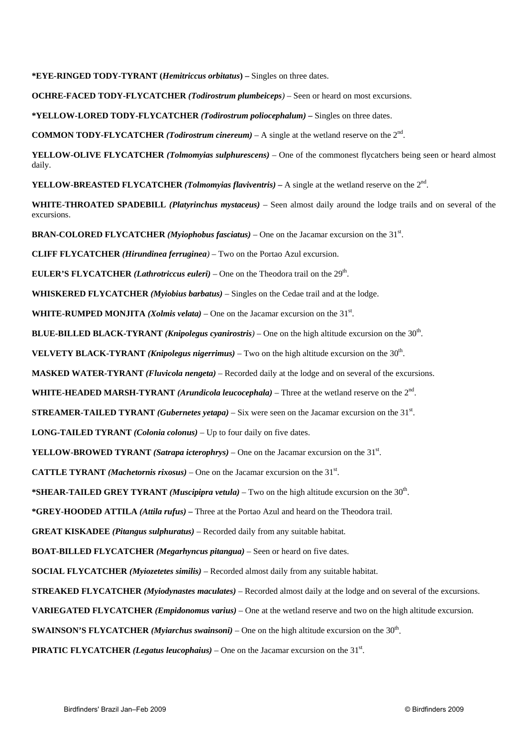**\*EYE-RINGED TODY-TYRANT (***Hemitriccus orbitatus***) –** Singles on three dates.

**OCHRE-FACED TODY-FLYCATCHER** *(Todirostrum plumbeiceps)* – Seen or heard on most excursions.

**\*YELLOW-LORED TODY-FLYCATCHER** *(Todirostrum poliocephalum)* **–** Singles on three dates.

**COMMON TODY-FLYCATCHER** *(Todirostrum cinereum)* – A single at the wetland reserve on the  $2<sup>nd</sup>$ .

**YELLOW-OLIVE FLYCATCHER** *(Tolmomyias sulphurescens)* – One of the commonest flycatchers being seen or heard almost daily.

**YELLOW-BREASTED FLYCATCHER** *(Tolmomyias flaviventris)* **– A single at the wetland reserve on the**  $2<sup>nd</sup>$ **.** 

**WHITE-THROATED SPADEBILL** *(Platyrinchus mystaceus)* – Seen almost daily around the lodge trails and on several of the excursions.

**BRAN-COLORED FLYCATCHER** *(Myiophobus fasciatus)* – One on the Jacamar excursion on the 31<sup>st</sup>.

**CLIFF FLYCATCHER** *(Hirundinea ferruginea)* – Two on the Portao Azul excursion.

**EULER'S FLYCATCHER** *(Lathrotriccus euleri)* – One on the Theodora trail on the  $29<sup>th</sup>$ .

**WHISKERED FLYCATCHER** *(Myiobius barbatus)* – Singles on the Cedae trail and at the lodge.

**WHITE-RUMPED MONJITA** *(Xolmis velata)* – One on the Jacamar excursion on the 31<sup>st</sup>.

**BLUE-BILLED BLACK-TYRANT** *(Knipolegus cyanirostris)* – One on the high altitude excursion on the 30<sup>th</sup>.

**VELVETY BLACK-TYRANT** *(Knipolegus nigerrimus)* – Two on the high altitude excursion on the 30<sup>th</sup>.

**MASKED WATER-TYRANT** *(Fluvicola nengeta)* – Recorded daily at the lodge and on several of the excursions.

**WHITE-HEADED MARSH-TYRANT** *(Arundicola leucocephala)* – Three at the wetland reserve on the 2nd.

**STREAMER-TAILED TYRANT** *(Gubernetes yetapa)* – Six were seen on the Jacamar excursion on the 31<sup>st</sup>.

**LONG-TAILED TYRANT** *(Colonia colonus)* – Up to four daily on five dates.

**YELLOW-BROWED TYRANT** *(Satrapa icterophrys)* – One on the Jacamar excursion on the 31<sup>st</sup>.

**CATTLE TYRANT** *(Machetornis rixosus)* – One on the Jacamar excursion on the  $31<sup>st</sup>$ .

\***SHEAR-TAILED GREY TYRANT** *(Muscipipra vetula)* – Two on the high altitude excursion on the 30<sup>th</sup>.

**\*GREY-HOODED ATTILA** *(Attila rufus)* **–** Three at the Portao Azul and heard on the Theodora trail.

**GREAT KISKADEE** *(Pitangus sulphuratus)* – Recorded daily from any suitable habitat.

**BOAT-BILLED FLYCATCHER** *(Megarhyncus pitangua)* – Seen or heard on five dates.

**SOCIAL FLYCATCHER** *(Myiozetetes similis)* – Recorded almost daily from any suitable habitat.

**STREAKED FLYCATCHER** *(Myiodynastes maculates)* – Recorded almost daily at the lodge and on several of the excursions.

**VARIEGATED FLYCATCHER** *(Empidonomus varius)* – One at the wetland reserve and two on the high altitude excursion.

**SWAINSON'S FLYCATCHER** *(Myiarchus swainsoni)* – One on the high altitude excursion on the 30th.

**PIRATIC FLYCATCHER** *(Legatus leucophaius)* – One on the Jacamar excursion on the  $31<sup>st</sup>$ .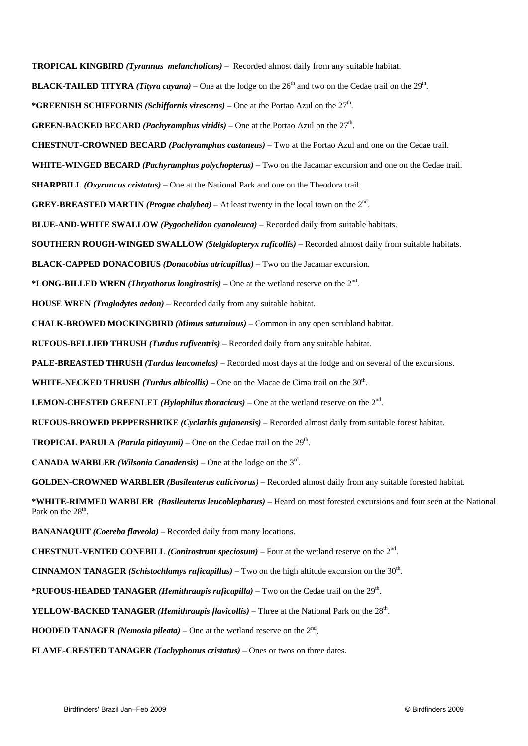**TROPICAL KINGBIRD** *(Tyrannus melancholicus)* – Recorded almost daily from any suitable habitat. **BLACK-TAILED TITYRA** *(Tityra cayana)* – One at the lodge on the  $26<sup>th</sup>$  and two on the Cedae trail on the  $29<sup>th</sup>$ . **\*GREENISH SCHIFFORNIS** *(Schiffornis virescens)* **–** One at the Portao Azul on the 27th. **GREEN-BACKED BECARD** *(Pachyramphus viridis)* – One at the Portao Azul on the  $27<sup>th</sup>$ . **CHESTNUT-CROWNED BECARD** *(Pachyramphus castaneus)* – Two at the Portao Azul and one on the Cedae trail. **WHITE-WINGED BECARD** *(Pachyramphus polychopterus)* – Two on the Jacamar excursion and one on the Cedae trail. **SHARPBILL** *(Oxyruncus cristatus)* – One at the National Park and one on the Theodora trail. **GREY-BREASTED MARTIN** *(Progne chalybea)* – At least twenty in the local town on the  $2<sup>nd</sup>$ . **BLUE-AND-WHITE SWALLOW** *(Pygochelidon cyanoleuca)* – Recorded daily from suitable habitats. **SOUTHERN ROUGH-WINGED SWALLOW** *(Stelgidopteryx ruficollis)* – Recorded almost daily from suitable habitats. **BLACK-CAPPED DONACOBIUS** *(Donacobius atricapillus)* – Two on the Jacamar excursion. **\*LONG-BILLED WREN** *(Thryothorus longirostris)* **–** One at the wetland reserve on the 2nd. **HOUSE WREN** *(Troglodytes aedon)* – Recorded daily from any suitable habitat. **CHALK-BROWED MOCKINGBIRD** *(Mimus saturninus)* – Common in any open scrubland habitat. **RUFOUS-BELLIED THRUSH** *(Turdus rufiventris)* – Recorded daily from any suitable habitat. **PALE-BREASTED THRUSH** *(Turdus leucomelas)* – Recorded most days at the lodge and on several of the excursions. **WHITE-NECKED THRUSH** *(Turdus albicollis)* **–** One on the Macae de Cima trail on the 30th. **LEMON-CHESTED GREENLET** *(Hylophilus thoracicus)* – One at the wetland reserve on the  $2<sup>nd</sup>$ . **RUFOUS-BROWED PEPPERSHRIKE** *(Cyclarhis gujanensis)* – Recorded almost daily from suitable forest habitat. **TROPICAL PARULA** *(Parula pitiayumi)* – One on the Cedae trail on the  $29<sup>th</sup>$ . **CANADA WARBLER** *(Wilsonia Canadensis)* – One at the lodge on the  $3<sup>rd</sup>$ . **GOLDEN-CROWNED WARBLER** *(Basileuterus culicivorus)* – Recorded almost daily from any suitable forested habitat. **\*WHITE-RIMMED WARBLER** *(Basileuterus leucoblepharus)* **–** Heard on most forested excursions and four seen at the National Park on the 28<sup>th</sup>. **BANANAQUIT** *(Coereba flaveola)* – Recorded daily from many locations. **CHESTNUT-VENTED CONEBILL** *(Conirostrum speciosum)* – Four at the wetland reserve on the  $2<sup>nd</sup>$ . **CINNAMON TANAGER** *(Schistochlamys ruficapillus)* – Two on the high altitude excursion on the 30<sup>th</sup>. **\*RUFOUS-HEADED TANAGER** *(Hemithraupis ruficapilla)* – Two on the Cedae trail on the 29<sup>th</sup>. **YELLOW-BACKED TANAGER** *(Hemithraupis flavicollis)* – Three at the National Park on the 28<sup>th</sup>. **HOODED TANAGER** *(Nemosia pileata)* – One at the wetland reserve on the  $2<sup>nd</sup>$ . **FLAME-CRESTED TANAGER** *(Tachyphonus cristatus)* – Ones or twos on three dates.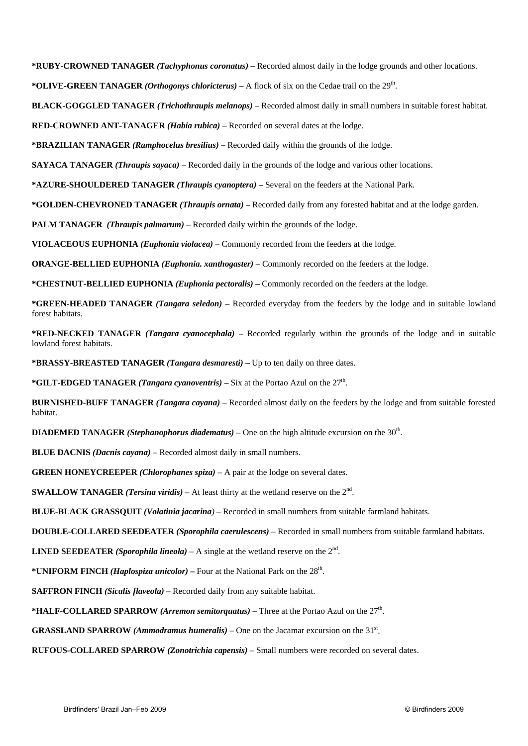**\*RUBY-CROWNED TANAGER** *(Tachyphonus coronatus)* **–** Recorded almost daily in the lodge grounds and other locations.

\***OLIVE-GREEN TANAGER** *(Orthogonys chloricterus)* – A flock of six on the Cedae trail on the  $29<sup>th</sup>$ .

**BLACK-GOGGLED TANAGER** *(Trichothraupis melanops)* – Recorded almost daily in small numbers in suitable forest habitat.

**RED-CROWNED ANT-TANAGER** *(Habia rubica)* – Recorded on several dates at the lodge.

**\*BRAZILIAN TANAGER** *(Ramphocelus bresilius)* **–** Recorded daily within the grounds of the lodge.

**SAYACA TANAGER** *(Thraupis sayaca)* – Recorded daily in the grounds of the lodge and various other locations.

**\*AZURE-SHOULDERED TANAGER** *(Thraupis cyanoptera)* **–** Several on the feeders at the National Park.

**\*GOLDEN-CHEVRONED TANAGER** *(Thraupis ornata)* **–** Recorded daily from any forested habitat and at the lodge garden.

**PALM TANAGER** *(Thraupis palmarum)* – Recorded daily within the grounds of the lodge.

**VIOLACEOUS EUPHONIA** *(Euphonia violacea)* – Commonly recorded from the feeders at the lodge.

**ORANGE-BELLIED EUPHONIA** *(Euphonia. xanthogaster)* – Commonly recorded on the feeders at the lodge.

**\*CHESTNUT-BELLIED EUPHONIA** *(Euphonia pectoralis)* **–** Commonly recorded on the feeders at the lodge.

**\*GREEN-HEADED TANAGER** *(Tangara seledon)* **–** Recorded everyday from the feeders by the lodge and in suitable lowland forest habitats.

**\*RED-NECKED TANAGER** *(Tangara cyanocephala)* **–** Recorded regularly within the grounds of the lodge and in suitable lowland forest habitats.

**\*BRASSY-BREASTED TANAGER** *(Tangara desmaresti)* **–** Up to ten daily on three dates.

**\*GILT-EDGED TANAGER** *(Tangara cyanoventris)* **–** Six at the Portao Azul on the 27th.

**BURNISHED-BUFF TANAGER** *(Tangara cayana)* – Recorded almost daily on the feeders by the lodge and from suitable forested habitat.

**DIADEMED TANAGER** *(Stephanophorus diadematus)* – One on the high altitude excursion on the 30th.

**BLUE DACNIS** *(Dacnis cayana)* – Recorded almost daily in small numbers.

**GREEN HONEYCREEPER** *(Chlorophanes spiza)* – A pair at the lodge on several dates.

**SWALLOW TANAGER** *(Tersina viridis)* – At least thirty at the wetland reserve on the  $2<sup>nd</sup>$ .

**BLUE-BLACK GRASSQUIT** *(Volatinia jacarina)* – Recorded in small numbers from suitable farmland habitats.

**DOUBLE-COLLARED SEEDEATER** *(Sporophila caerulescens)* – Recorded in small numbers from suitable farmland habitats.

**LINED SEEDEATER** *(Sporophila lineola)* – A single at the wetland reserve on the  $2<sup>nd</sup>$ .

**\*UNIFORM FINCH** *(Haplospiza unicolor)* **–** Four at the National Park on the 28th.

**SAFFRON FINCH** *(Sicalis flaveola)* – Recorded daily from any suitable habitat.

**\*HALF-COLLARED SPARROW** *(Arremon semitorquatus)* **–** Three at the Portao Azul on the 27th.

**GRASSLAND SPARROW** (*Ammodramus humeralis*) – One on the Jacamar excursion on the  $31<sup>st</sup>$ .

**RUFOUS-COLLARED SPARROW** *(Zonotrichia capensis)* – Small numbers were recorded on several dates.